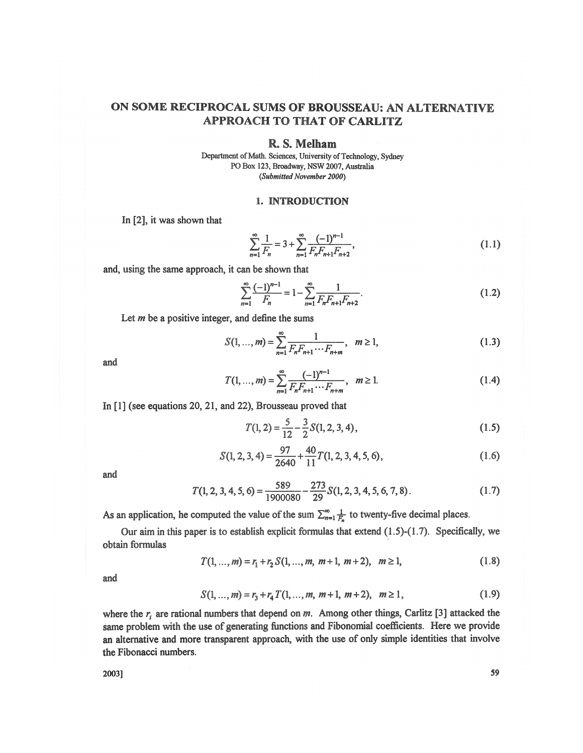# ON SOME RECIPROCAL SUMS OF BROUSSEAU: AN ALTERNATIVE APPROACH TO THAT OF CARLITZ

## R. S. Melham

Department of Math. Sciences, University of Technology, Sydney PO Box 123, Broadway, NSW 2007, Australia *(Submitted November 2000)* 

#### 1. INTRODUCTION

In **[2],** it was shown that

$$
\sum_{n=1}^{\infty} \frac{1}{F_n} = 3 + \sum_{n=1}^{\infty} \frac{(-1)^{n-1}}{F_n F_{n+1} F_{n+2}},
$$
\n(1.1)

**w=l** *<sup>r</sup> n* **n=l** *<sup>r</sup>* and, using the same **approach,** it can be shown that

$$
\sum_{n=1}^{\infty} \frac{(-1)^{n-1}}{F_n} = 1 - \sum_{n=1}^{\infty} \frac{1}{F_n F_{n+1} F_{n+2}}.
$$
 (1.2)

Let  $m$  be a positive integer, and define the sums

$$
S(1, ..., m) = \sum_{n=1}^{\infty} \frac{1}{F_n F_{n+1} \cdots F_{n+m}}, \quad m \ge 1,
$$
 (1.3)

and

$$
T(1, ..., m) = \sum_{n=1}^{\infty} \frac{(-1)^{n-1}}{F_n F_{n+1} \cdots F_{n+m}}, \quad m \ge 1.
$$
 (1.4)

In **[1]** (see equations 20, 21, and 22), Brousseau proved that

$$
T(1,2) = \frac{5}{12} - \frac{3}{2}S(1,2,3,4),
$$
\n(1.5)

$$
S(1, 2, 3, 4) = \frac{97}{2640} + \frac{40}{11}T(1, 2, 3, 4, 5, 6),
$$
 (1.6)

and

$$
T(1, 2, 3, 4, 5, 6) = \frac{589}{1900080} - \frac{273}{29} S(1, 2, 3, 4, 5, 6, 7, 8).
$$
 (1.7)

As an application, he computed the value of the sum  $\sum_{n=1}^{\infty} \frac{1}{F_n}$  to twenty-five decimal places.

Our aim in this paper is to establish explicit formulas that extend  $(1.5)-(1.7)$ . Specifically, we obtain formulas

$$
T(1, ..., m) = r_1 + r_2 S(1, ..., m, m+1, m+2), \quad m \ge 1,
$$
\n(1.8)

and

$$
S(1, ..., m) = r_3 + r_4 T(1, ..., m, m+1, m+2), \quad m \ge 1,
$$
\n(1.9)

where the  $r_i$  are rational numbers that depend on  $m$ . Among other things, Carlitz [3] attacked the same problem with the use of generating functions and Fibonomial coefficients. Here we provide an alternative and more transparent approach, with the use of only simple identities that involve the Fibonacci numbers.

2003] 59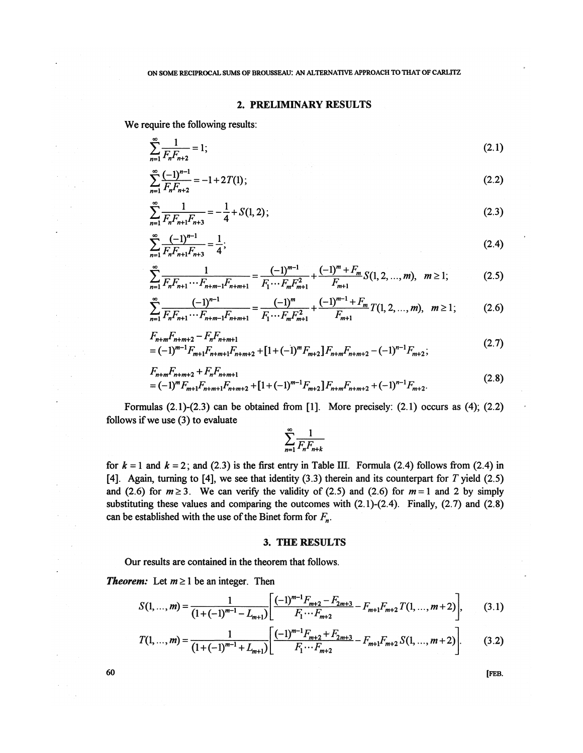## 2. PRELIMINARY RESULTS

We require the following results:

$$
\sum_{n=1}^{\infty} \frac{1}{F_n F_{n+2}} = 1; \tag{2.1}
$$

$$
\sum_{n=1}^{\infty} \frac{(-1)^{n-1}}{F_n F_{n+2}} = -1 + 2T(1);
$$
\n(2.2)

$$
\sum_{n=1}^{\infty} \frac{1}{F_n F_{n+1} F_{n+3}} = -\frac{1}{4} + S(1, 2); \tag{2.3}
$$

$$
\sum_{n=1}^{\infty} \frac{(-1)^{n-1}}{F_n F_{n+1} F_{n+3}} = \frac{1}{4};
$$
\n(2.4)

$$
\sum_{n=1}^{\infty} \frac{1}{F_n F_{n+1} \cdots F_{n+m-1} F_{n+m+1}} = \frac{(-1)^{m-1}}{F_1 \cdots F_m F_{m+1}^2} + \frac{(-1)^m + F_m}{F_{m+1}} S(1, 2, ..., m), \quad m \ge 1; \tag{2.5}
$$

$$
\sum_{n=1}^{\infty} \frac{(-1)^{n-1}}{F_n F_{n+1} \cdots F_{n+m-1} F_{n+m+1}} = \frac{(-1)^m}{F_1 \cdots F_m F_{m+1}^2} + \frac{(-1)^{m-1} + F_m}{F_{m+1}} T(1, 2, \dots, m), \quad m \ge 1; \tag{2.6}
$$

$$
F_{n+m}F_{n+m+2} - F_n F_{n+m+1}
$$
  
=  $(-1)^{m-1} F_{m+1} F_{n+m+1} F_{n+m+2} + [1 + (-1)^m F_{m+2}] F_{n+m} F_{n+m+2} - (-1)^{n-1} F_{m+2};$  (2.7)

$$
F_{n+m}F_{n+m+2} + F_n F_{n+m+1}
$$
  
=  $(-1)^m F_{m+1}F_{n+m+1}F_{n+m+2} + [1+(-1)^{m-1}F_{m+2}]F_{n+m}F_{n+m+2} + (-1)^{n-1}F_{m+2}.$  (2.8)

Formulas  $(2.1)-(2.3)$  can be obtained from [1]. More precisely:  $(2.1)$  occurs as  $(4)$ ;  $(2.2)$ follows if we use (3) to evaluate

$$
\sum_{n=1}^{\infty} \frac{1}{F_n F_{n+k}}
$$

*n-\ <sup>A</sup> n£ n+k*  for  $k = 1$  and  $k = 2$ ; and (2.3) is the first entry in Table III. Formula (2.4) follows from (2.4) in [4]. Again, turning to [4], we see that identity  $(3.3)$  therein and its counterpart for T yield  $(2.5)$ and (2.6) for  $m \ge 3$ . We can verify the validity of (2.5) and (2.6) for  $m = 1$  and 2 by simply substituting these values and comparing the outcomes with (2.1)-(2.4). Finally, (2.7) and (2.8) can be established with the use of the Binet form for  $F_n$ .

#### 3. THE RESULTS

Our results are contained in the theorem that follows.

*Theorem:* Let  $m \ge 1$  be an integer. Then

$$
S(1, ..., m) = \frac{1}{(1 + (-1)^{m-1} - L_{m+1})} \left[ \frac{(-1)^{m-1} F_{m+2} - F_{2m+3}}{F_1 \cdots F_{m+2}} - F_{m+1} F_{m+2} T(1, ..., m+2) \right],
$$
 (3.1)

$$
T(1,...,m) = \frac{1}{(1+(-1)^{m-1} + L_{m+1})} \left[ \frac{(-1)^{m-1} F_{m+2} + F_{2m+3}}{F_1 \cdots F_{m+2}} - F_{m+1} F_{m+2} S(1, ..., m+2) \right].
$$
 (3.2)

**60** *FEB.*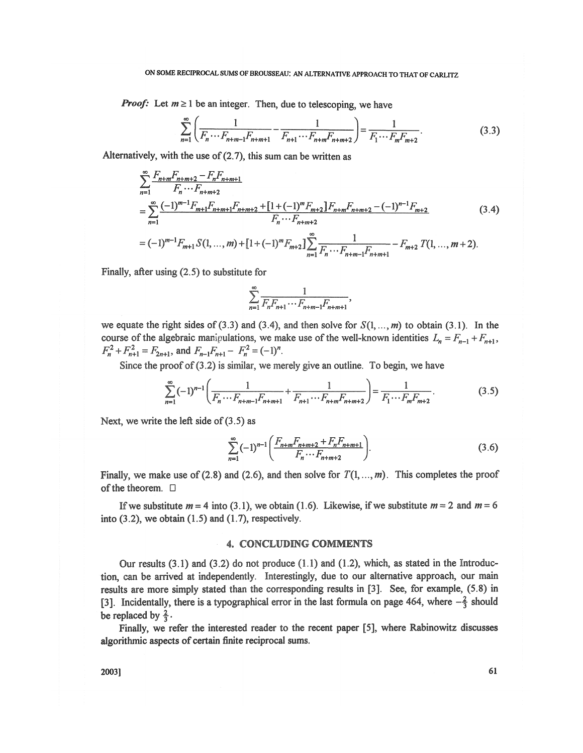## ON SOME RECIPROCAL SUMS OF BROUSSEAU: AN ALTERNATIVE APPROACH TO THAT OF CARLITZ

*Proof:* Let  $m \ge 1$  be an integer. Then, due to telescoping, we have

$$
\sum_{n=1}^{\infty} \left( \frac{1}{F_n \cdots F_{n+m-1} F_{n+m+1}} - \frac{1}{F_{n+1} \cdots F_{n+m} F_{n+m+2}} \right) = \frac{1}{F_1 \cdots F_m F_{m+2}}.
$$
(3.3)

Alternatively, with the use of (2.7), this sum can be written as

$$
\sum_{n=1}^{\infty} \frac{F_{n+m}F_{n+m+2} - F_n F_{n+m+1}}{F_n \cdots F_{n+m+2}}
$$
\n
$$
= \sum_{n=1}^{\infty} \frac{(-1)^{m-1} F_{m+1} F_{n+m+1} F_{n+m+2} + [1 + (-1)^m F_{m+2}] F_{n+m} F_{n+m+2} - (-1)^{n-1} F_{m+2}}{F_n \cdots F_{n+m+2}}
$$
\n
$$
= (-1)^{m-1} F_{m+1} S(1, ..., m) + [1 + (-1)^m F_{m+2}] \sum_{n=1}^{\infty} \frac{1}{F_n \cdots F_{n+m-1} F_{n+m+1}} - F_{m+2} T(1, ..., m+2).
$$
\n(3.4)

Finally, after using (2.5) to substitute for

$$
\sum_{n=1}^{\infty} \frac{1}{F_n F_{n+1} \cdots F_{n+m-1} F_{n+m+1}},
$$

we equate the right sides of (3.3) and (3.4), and then solve for  $S(1, ..., m)$  to obtain (3.1). In the course of the algebraic manipulations, we make use of the well-known identities  $L_n = F_{n-1} + F_{n+1}$ ,  $F_n^2 + F_{n+1}^2 = F_{2n+1}$ , and  $F_{n-1}F_{n+1} - F_n^2 = (-1)^n$ .

Since the proof of  $(3.2)$  is similar, we merely give an outline. To begin, we have

$$
\sum_{n=1}^{\infty} (-1)^{n-1} \left( \frac{1}{F_n \cdots F_{n+m-1} F_{n+m+1}} + \frac{1}{F_{n+1} \cdots F_{n+m} F_{n+m+2}} \right) = \frac{1}{F_1 \cdots F_m F_{m+2}}.
$$
(3.5)

Next, we write the left side of (3.5) as

$$
\sum_{n=1}^{\infty} (-1)^{n-1} \left( \frac{F_{n+m} F_{n+m+2} + F_n F_{n+m+1}}{F_n \cdots F_{n+m+2}} \right).
$$
 (3.6)

Finally, we make use of (2.8) and (2.6), and then solve for  $T(1, ..., m)$ . This completes the proof of the theorem.  $\Box$ 

If we substitute  $m = 4$  into (3.1), we obtain (1.6). Likewise, if we substitute  $m = 2$  and  $m = 6$ into  $(3.2)$ , we obtain  $(1.5)$  and  $(1.7)$ , respectively.

### 4. CONCLUDING COMMENTS

Our results  $(3.1)$  and  $(3.2)$  do not produce  $(1.1)$  and  $(1.2)$ , which, as stated in the Introduction, can be arrived at independently. Interestingly, due to our alternative approach, our main results are more simply stated than the corresponding results in [3]. See, for example, (5.8) in [3]. Incidentally, there is a typographical error in the last formula on page 464, where  $-\frac{2}{3}$  should be replaced by  $\frac{2}{3}$ .

Finally, we refer the interested reader to the recent paper **[5],** where Rabinowitz discusses **algorithmic** aspects of certain finite reciprocal sums.

2003] 61